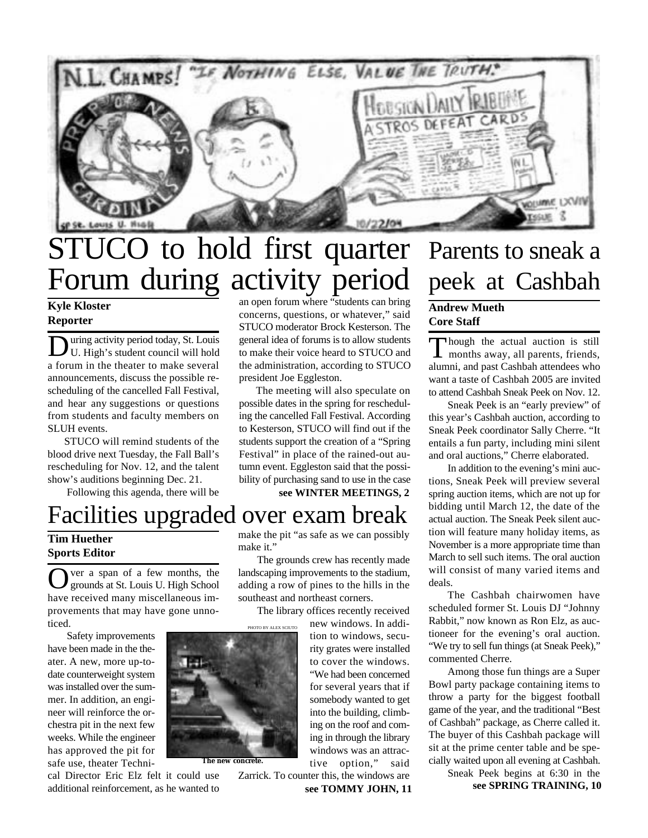

## STUCO to hold first quarter Forum during activity period

**Kyle Kloster Reporter**

 $\overline{\mathbf{D}}$ uring activity period today, St. Louis U. High's student council will hold a forum in the theater to make several announcements, discuss the possible rescheduling of the cancelled Fall Festival, and hear any suggestions or questions from students and faculty members on SLUH events.

 STUCO will remind students of the blood drive next Tuesday, the Fall Ball's rescheduling for Nov. 12, and the talent show's auditions beginning Dec. 21.

Following this agenda, there will be

### Facilities upgraded over exam break

### **Tim Huether Sports Editor**

O ver a span of a few months, the grounds at St. Louis U. High School ver a span of a few months, the have received many miscellaneous improvements that may have gone unnoticed.

Safety improvements have been made in the theater. A new, more up-todate counterweight system was installed over the summer. In addition, an engineer will reinforce the orchestra pit in the next few weeks. While the engineer has approved the pit for safe use, theater Techni-



an open forum where "students can bring concerns, questions, or whatever," said STUCO moderator Brock Kesterson. The general idea of forums is to allow students to make their voice heard to STUCO and the administration, according to STUCO president Joe Eggleston.

 The meeting will also speculate on possible dates in the spring for rescheduling the cancelled Fall Festival. According to Kesterson, STUCO will find out if the students support the creation of a "Spring Festival" in place of the rained-out autumn event. Eggleston said that the possibility of purchasing sand to use in the case

**see WINTER MEETINGS, 2**

make the pit "as safe as we can possibly make it."

The grounds crew has recently made landscaping improvements to the stadium, adding a row of pines to the hills in the southeast and northeast corners.

The library offices recently received

new windows. In addition to windows, security grates were installed to cover the windows. "We had been concerned for several years that if somebody wanted to get into the building, climbing on the roof and coming in through the library windows was an attractive option," said

**see TOMMY JOHN, 11** Zarrick. To counter this, the windows are

## Parents to sneak a peek at Cashbah

### **Andrew Mueth Core Staff**

Though the actual auction is still<br>months away, all parents, friends, hough the actual auction is still alumni, and past Cashbah attendees who want a taste of Cashbah 2005 are invited to attend Cashbah Sneak Peek on Nov. 12.

Sneak Peek is an "early preview" of this year's Cashbah auction, according to Sneak Peek coordinator Sally Cherre. "It entails a fun party, including mini silent and oral auctions," Cherre elaborated.

In addition to the evening's mini auctions, Sneak Peek will preview several spring auction items, which are not up for bidding until March 12, the date of the actual auction. The Sneak Peek silent auction will feature many holiday items, as November is a more appropriate time than March to sell such items. The oral auction will consist of many varied items and deals.

The Cashbah chairwomen have scheduled former St. Louis DJ "Johnny Rabbit," now known as Ron Elz, as auctioneer for the evening's oral auction. "We try to sell fun things (at Sneak Peek)," commented Cherre.

Among those fun things are a Super Bowl party package containing items to throw a party for the biggest football game of the year, and the traditional "Best of Cashbah" package, as Cherre called it. The buyer of this Cashbah package will sit at the prime center table and be specially waited upon all evening at Cashbah.

> Sneak Peek begins at 6:30 in the **see SPRING TRAINING, 10**



PHOTO BY ALEX SCIUTO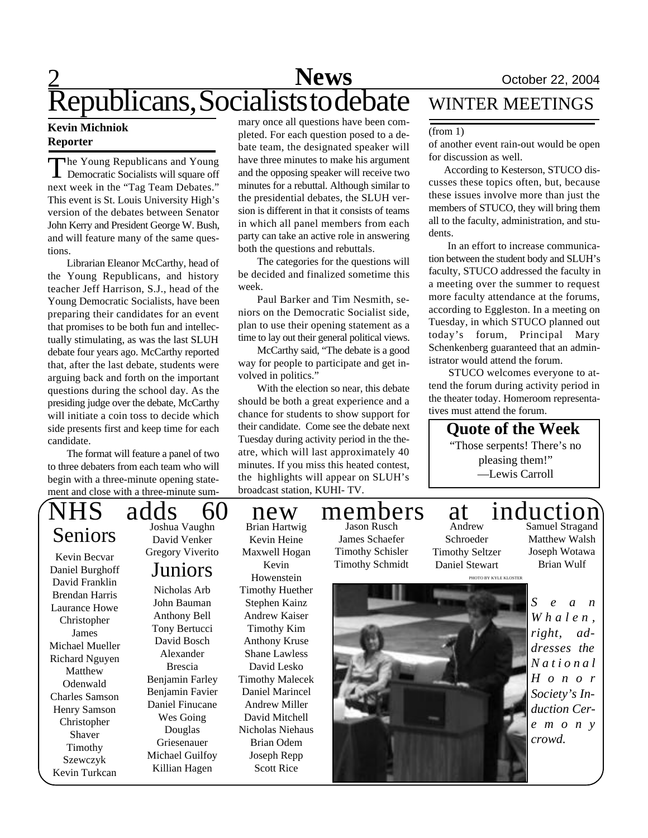### $\overline{2}$ **News** October 22, 2004 Republicans, Socialists to debate

The Young Republicans and Young<br>Democratic Socialists will square off he Young Republicans and Young next week in the "Tag Team Debates." This event is St. Louis University High's version of the debates between Senator John Kerry and President George W. Bush, and will feature many of the same questions.

Librarian Eleanor McCarthy, head of the Young Republicans, and history teacher Jeff Harrison, S.J., head of the Young Democratic Socialists, have been preparing their candidates for an event that promises to be both fun and intellectually stimulating, as was the last SLUH debate four years ago. McCarthy reported that, after the last debate, students were arguing back and forth on the important questions during the school day. As the presiding judge over the debate, McCarthy will initiate a coin toss to decide which side presents first and keep time for each candidate.

The format will feature a panel of two to three debaters from each team who will begin with a three-minute opening statement and close with a three-minute sum-

# Seniors

Kevin Becvar Daniel Burghoff David Franklin Brendan Harris Laurance Howe Christopher James Michael Mueller Richard Nguyen Matthew Odenwald Charles Samson Henry Samson Christopher Shaver Timothy Szewczyk Kevin Turkcan

Joshua Vaughn David Venker Gregory Viverito

### Juniors

Nicholas Arb John Bauman Anthony Bell Tony Bertucci David Bosch Alexander Brescia Benjamin Farley Benjamin Favier Daniel Finucane Wes Going Douglas Griesenauer Michael Guilfoy Killian Hagen

mary once all questions have been completed. For each question posed to a debate team, the designated speaker will have three minutes to make his argument and the opposing speaker will receive two minutes for a rebuttal. Although similar to the presidential debates, the SLUH version is different in that it consists of teams in which all panel members from each party can take an active role in answering both the questions and rebuttals.

The categories for the questions will be decided and finalized sometime this week.

Paul Barker and Tim Nesmith, seniors on the Democratic Socialist side, plan to use their opening statement as a time to lay out their general political views.

McCarthy said, "The debate is a good way for people to participate and get involved in politics."

With the election so near, this debate should be both a great experience and a chance for students to show support for their candidate. Come see the debate next Tuesday during activity period in the theatre, which will last approximately 40 minutes. If you miss this heated contest, the highlights will appear on SLUH's broadcast station, KUHI- TV.

Brian Hartwig Kevin Heine Maxwell Hogan Kevin

Scott Rice

### WINTER MEETINGS

#### (from 1)

of another event rain-out would be open for discussion as well.

 According to Kesterson, STUCO discusses these topics often, but, because these issues involve more than just the members of STUCO, they will bring them all to the faculty, administration, and students.

In an effort to increase communication between the student body and SLUH's faculty, STUCO addressed the faculty in a meeting over the summer to request more faculty attendance at the forums, according to Eggleston. In a meeting on Tuesday, in which STUCO planned out today's forum, Principal Mary Schenkenberg guaranteed that an administrator would attend the forum.

 STUCO welcomes everyone to attend the forum during activity period in the theater today. Homeroom representatives must attend the forum.

> **Quote of the Week** "Those serpents! There's no pleasing them!"

—Lewis Carroll

Timothy Schisler Timothy Schmidt

Andrew Schroeder Timothy Seltzer Daniel Stewart

Samuel Stragand Matthew Walsh Joseph Wotawa Brian Wulf

Howenstein Timothy Huether Stephen Kainz Andrew Kaiser Timothy Kim Anthony Kruse Shane Lawless David Lesko Timothy Malecek Daniel Marincel Andrew Miller David Mitchell Nicholas Niehaus Brian Odem Joseph Repp

PHOTO BY KYLE KLOSTER



*S e a n*  $W$ *h*  $a$  *l*  $e$   $n$ , *right, addresses the N a t i o n a l H o n o r Society's Induction Cere m o n y crowd.*

### adds 60 new members at induction Jason Rusch

## James Schaefer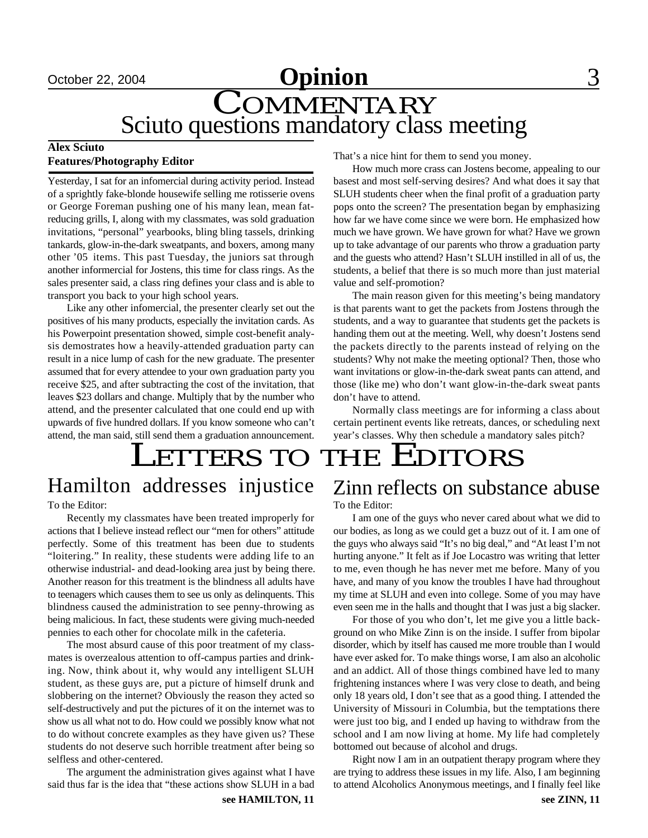### **October 22, 2004 Opinion** 3 COMMENTARY Sciuto questions mandatory class meeting

### **Alex Sciuto Features/Photography Editor**

Yesterday, I sat for an infomercial during activity period. Instead of a sprightly fake-blonde housewife selling me rotisserie ovens or George Foreman pushing one of his many lean, mean fatreducing grills, I, along with my classmates, was sold graduation invitations, "personal" yearbooks, bling bling tassels, drinking tankards, glow-in-the-dark sweatpants, and boxers, among many other '05 items. This past Tuesday, the juniors sat through another informercial for Jostens, this time for class rings. As the sales presenter said, a class ring defines your class and is able to transport you back to your high school years.

Like any other infomercial, the presenter clearly set out the positives of his many products, especially the invitation cards. As his Powerpoint presentation showed, simple cost-benefit analysis demostrates how a heavily-attended graduation party can result in a nice lump of cash for the new graduate. The presenter assumed that for every attendee to your own graduation party you receive \$25, and after subtracting the cost of the invitation, that leaves \$23 dollars and change. Multiply that by the number who attend, and the presenter calculated that one could end up with upwards of five hundred dollars. If you know someone who can't attend, the man said, still send them a graduation announcement. That's a nice hint for them to send you money.

How much more crass can Jostens become, appealing to our basest and most self-serving desires? And what does it say that SLUH students cheer when the final profit of a graduation party pops onto the screen? The presentation began by emphasizing how far we have come since we were born. He emphasized how much we have grown. We have grown for what? Have we grown up to take advantage of our parents who throw a graduation party and the guests who attend? Hasn't SLUH instilled in all of us, the students, a belief that there is so much more than just material value and self-promotion?

The main reason given for this meeting's being mandatory is that parents want to get the packets from Jostens through the students, and a way to guarantee that students get the packets is handing them out at the meeting. Well, why doesn't Jostens send the packets directly to the parents instead of relying on the students? Why not make the meeting optional? Then, those who want invitations or glow-in-the-dark sweat pants can attend, and those (like me) who don't want glow-in-the-dark sweat pants don't have to attend.

Normally class meetings are for informing a class about certain pertinent events like retreats, dances, or scheduling next year's classes. Why then schedule a mandatory sales pitch?

# LETTERS TO THE EDITORS

## To the Editor:

Recently my classmates have been treated improperly for

actions that I believe instead reflect our "men for others" attitude perfectly. Some of this treatment has been due to students "loitering." In reality, these students were adding life to an otherwise industrial- and dead-looking area just by being there. Another reason for this treatment is the blindness all adults have to teenagers which causes them to see us only as delinquents. This blindness caused the administration to see penny-throwing as being malicious. In fact, these students were giving much-needed pennies to each other for chocolate milk in the cafeteria.

The most absurd cause of this poor treatment of my classmates is overzealous attention to off-campus parties and drinking. Now, think about it, why would any intelligent SLUH student, as these guys are, put a picture of himself drunk and slobbering on the internet? Obviously the reason they acted so self-destructively and put the pictures of it on the internet was to show us all what not to do. How could we possibly know what not to do without concrete examples as they have given us? These students do not deserve such horrible treatment after being so selfless and other-centered.

The argument the administration gives against what I have said thus far is the idea that "these actions show SLUH in a bad

**see HAMILTON, 11 see ZINN, 11** 

### Hamilton addresses injustice Zinn reflects on substance abuse To the Editor:

I am one of the guys who never cared about what we did to our bodies, as long as we could get a buzz out of it. I am one of the guys who always said "It's no big deal," and "At least I'm not hurting anyone." It felt as if Joe Locastro was writing that letter to me, even though he has never met me before. Many of you have, and many of you know the troubles I have had throughout my time at SLUH and even into college. Some of you may have even seen me in the halls and thought that I was just a big slacker.

For those of you who don't, let me give you a little background on who Mike Zinn is on the inside. I suffer from bipolar disorder, which by itself has caused me more trouble than I would have ever asked for. To make things worse, I am also an alcoholic and an addict. All of those things combined have led to many frightening instances where I was very close to death, and being only 18 years old, I don't see that as a good thing. I attended the University of Missouri in Columbia, but the temptations there were just too big, and I ended up having to withdraw from the school and I am now living at home. My life had completely bottomed out because of alcohol and drugs.

Right now I am in an outpatient therapy program where they are trying to address these issues in my life. Also, I am beginning to attend Alcoholics Anonymous meetings, and I finally feel like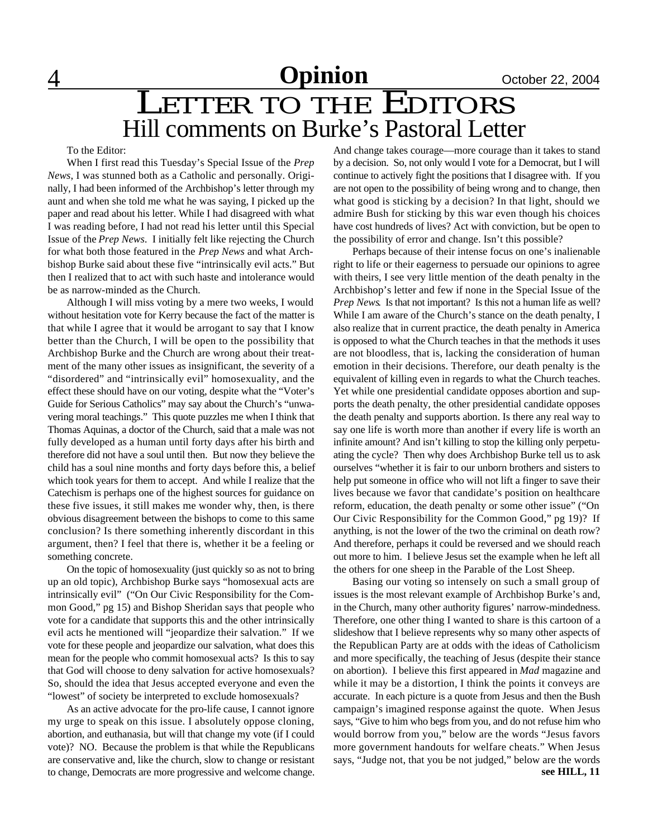# 4 **Opinion** October 22, 2004

### LETTER TO THE EDITORS Hill comments on Burke's Pastoral Letter

To the Editor:

When I first read this Tuesday's Special Issue of the *Prep News*, I was stunned both as a Catholic and personally. Originally, I had been informed of the Archbishop's letter through my aunt and when she told me what he was saying, I picked up the paper and read about his letter. While I had disagreed with what I was reading before, I had not read his letter until this Special Issue of the *Prep News*. I initially felt like rejecting the Church for what both those featured in the *Prep News* and what Archbishop Burke said about these five "intrinsically evil acts." But then I realized that to act with such haste and intolerance would be as narrow-minded as the Church.

Although I will miss voting by a mere two weeks, I would without hesitation vote for Kerry because the fact of the matter is that while I agree that it would be arrogant to say that I know better than the Church, I will be open to the possibility that Archbishop Burke and the Church are wrong about their treatment of the many other issues as insignificant, the severity of a "disordered" and "intrinsically evil" homosexuality, and the effect these should have on our voting, despite what the "Voter's Guide for Serious Catholics" may say about the Church's "unwavering moral teachings." This quote puzzles me when I think that Thomas Aquinas, a doctor of the Church, said that a male was not fully developed as a human until forty days after his birth and therefore did not have a soul until then. But now they believe the child has a soul nine months and forty days before this, a belief which took years for them to accept. And while I realize that the Catechism is perhaps one of the highest sources for guidance on these five issues, it still makes me wonder why, then, is there obvious disagreement between the bishops to come to this same conclusion? Is there something inherently discordant in this argument, then? I feel that there is, whether it be a feeling or something concrete.

On the topic of homosexuality (just quickly so as not to bring up an old topic), Archbishop Burke says "homosexual acts are intrinsically evil" ("On Our Civic Responsibility for the Common Good," pg 15) and Bishop Sheridan says that people who vote for a candidate that supports this and the other intrinsically evil acts he mentioned will "jeopardize their salvation." If we vote for these people and jeopardize our salvation, what does this mean for the people who commit homosexual acts? Is this to say that God will choose to deny salvation for active homosexuals? So, should the idea that Jesus accepted everyone and even the "lowest" of society be interpreted to exclude homosexuals?

As an active advocate for the pro-life cause, I cannot ignore my urge to speak on this issue. I absolutely oppose cloning, abortion, and euthanasia, but will that change my vote (if I could vote)? NO. Because the problem is that while the Republicans are conservative and, like the church, slow to change or resistant to change, Democrats are more progressive and welcome change. And change takes courage—more courage than it takes to stand by a decision. So, not only would I vote for a Democrat, but I will continue to actively fight the positions that I disagree with. If you are not open to the possibility of being wrong and to change, then what good is sticking by a decision? In that light, should we admire Bush for sticking by this war even though his choices have cost hundreds of lives? Act with conviction, but be open to the possibility of error and change. Isn't this possible?

Perhaps because of their intense focus on one's inalienable right to life or their eagerness to persuade our opinions to agree with theirs, I see very little mention of the death penalty in the Archbishop's letter and few if none in the Special Issue of the *Prep News*. Is that not important? Is this not a human life as well? While I am aware of the Church's stance on the death penalty, I also realize that in current practice, the death penalty in America is opposed to what the Church teaches in that the methods it uses are not bloodless, that is, lacking the consideration of human emotion in their decisions. Therefore, our death penalty is the equivalent of killing even in regards to what the Church teaches. Yet while one presidential candidate opposes abortion and supports the death penalty, the other presidential candidate opposes the death penalty and supports abortion. Is there any real way to say one life is worth more than another if every life is worth an infinite amount? And isn't killing to stop the killing only perpetuating the cycle? Then why does Archbishop Burke tell us to ask ourselves "whether it is fair to our unborn brothers and sisters to help put someone in office who will not lift a finger to save their lives because we favor that candidate's position on healthcare reform, education, the death penalty or some other issue" ("On Our Civic Responsibility for the Common Good," pg 19)? If anything, is not the lower of the two the criminal on death row? And therefore, perhaps it could be reversed and we should reach out more to him. I believe Jesus set the example when he left all the others for one sheep in the Parable of the Lost Sheep.

Basing our voting so intensely on such a small group of issues is the most relevant example of Archbishop Burke's and, in the Church, many other authority figures' narrow-mindedness. Therefore, one other thing I wanted to share is this cartoon of a slideshow that I believe represents why so many other aspects of the Republican Party are at odds with the ideas of Catholicism and more specifically, the teaching of Jesus (despite their stance on abortion). I believe this first appeared in *Mad* magazine and while it may be a distortion, I think the points it conveys are accurate. In each picture is a quote from Jesus and then the Bush campaign's imagined response against the quote. When Jesus says, "Give to him who begs from you, and do not refuse him who would borrow from you," below are the words "Jesus favors more government handouts for welfare cheats." When Jesus says, "Judge not, that you be not judged," below are the words **see HILL, 11**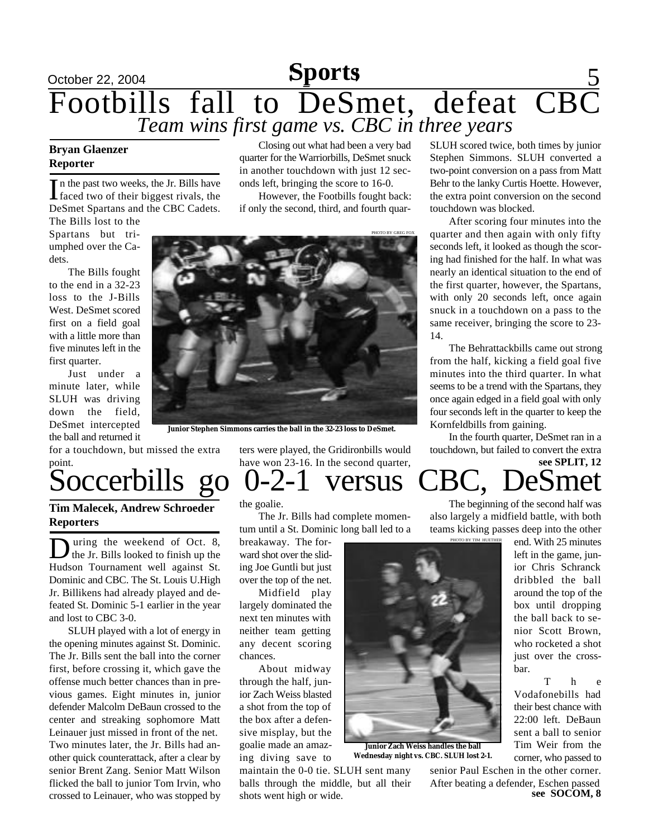### October 22, 2004 **Sports** 5 Footbills fall to DeSmet, defeat CBC *Team wins first game vs. CBC in three years* **Sports**

### **Reporter**

In the past two weeks, the Jr. Bills have<br>faced two of their biggest rivals, the In the past two weeks, the Jr. Bills have DeSmet Spartans and the CBC Cadets. The Bills lost to the

**Bryan Glaenzer** Closing out what had been a very bad SLUH scored twice, both times by junior quarter for the Warriorbills, DeSmet snuck in another touchdown with just 12 seconds left, bringing the score to 16-0.

> However, the Footbills fought back: if only the second, third, and fourth quar-

Spartans but triumphed over the Cadets.

The Bills fought to the end in a 32-23 loss to the J-Bills West. DeSmet scored first on a field goal with a little more than five minutes left in the first quarter.

Just under a minute later, while SLUH was driving down the field, DeSmet intercepted the ball and returned it

for a touchdown, but missed the extra point.

### **Tim Malecek, Andrew Schroeder Reporters**

**D** uring the weekend of Oct. 8, uring the weekend of Oct. 8, Hudson Tournament well against St. Dominic and CBC. The St. Louis U.High Jr. Billikens had already played and defeated St. Dominic 5-1 earlier in the year and lost to CBC 3-0.

SLUH played with a lot of energy in the opening minutes against St. Dominic. The Jr. Bills sent the ball into the corner first, before crossing it, which gave the offense much better chances than in previous games. Eight minutes in, junior defender Malcolm DeBaun crossed to the center and streaking sophomore Matt Leinauer just missed in front of the net. Two minutes later, the Jr. Bills had another quick counterattack, after a clear by senior Brent Zang. Senior Matt Wilson flicked the ball to junior Tom Irvin, who crossed to Leinauer, who was stopped by



The Jr. Bills had complete momentum until a St. Dominic long ball led to a

breakaway. The forward shot over the sliding Joe Guntli but just over the top of the net.

Midfield play largely dominated the next ten minutes with neither team getting any decent scoring chances.

About midway through the half, junior Zach Weiss blasted a shot from the top of the box after a defensive misplay, but the goalie made an amazing diving save to

maintain the 0-0 tie. SLUH sent many balls through the middle, but all their shots went high or wide.



**Junior Zach Weiss handles the ball Wednesday night vs. CBC. SLUH lost 2-1.**

Stephen Simmons. SLUH converted a two-point conversion on a pass from Matt Behr to the lanky Curtis Hoette. However, the extra point conversion on the second touchdown was blocked.

After scoring four minutes into the quarter and then again with only fifty seconds left, it looked as though the scoring had finished for the half. In what was nearly an identical situation to the end of the first quarter, however, the Spartans, with only 20 seconds left, once again snuck in a touchdown on a pass to the same receiver, bringing the score to 23- 14.

The Behrattackbills came out strong from the half, kicking a field goal five minutes into the third quarter. In what seems to be a trend with the Spartans, they once again edged in a field goal with only four seconds left in the quarter to keep the Kornfeldbills from gaining.

**see SPLIT, 12** In the fourth quarter, DeSmet ran in a touchdown, but failed to convert the extra

## Soccerbills go 0-2-1 versus CBC, DeSmet

The beginning of the second half was also largely a midfield battle, with both teams kicking passes deep into the other

> end. With 25 minutes left in the game, junior Chris Schranck dribbled the ball around the top of the box until dropping the ball back to senior Scott Brown, who rocketed a shot just over the crossbar.

> T h e Vodafonebills had their best chance with 22:00 left. DeBaun sent a ball to senior Tim Weir from the corner, who passed to

**see SOCOM, 8** senior Paul Eschen in the other corner. After beating a defender, Eschen passed



**Junior Stephen Simmons carries the ball in the 32-23 loss to DeSmet.**

ters were played, the Gridironbills would have won 23-16. In the second quarter,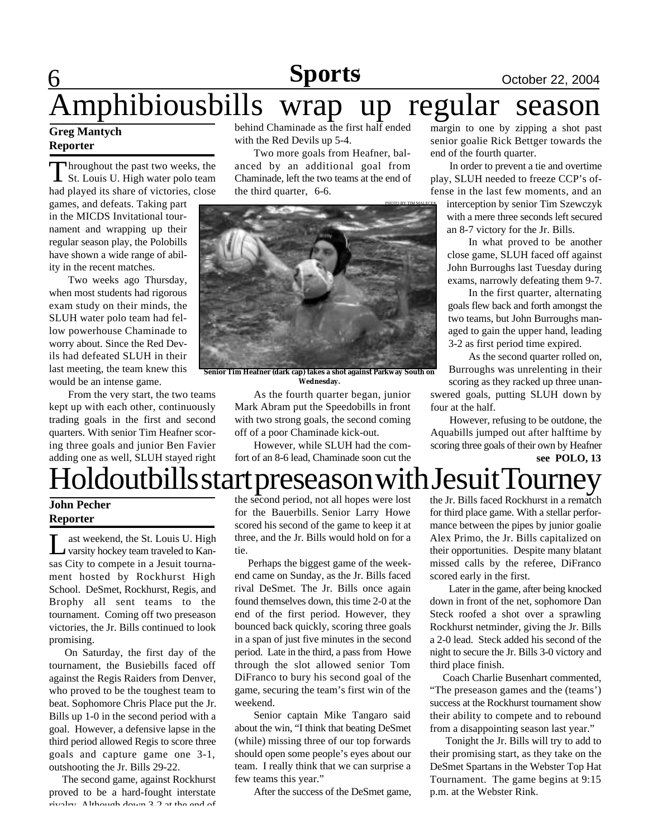## **Sports October 22, 2004**

# Amphibiousbills wrap up regular season

### **Greg Mantych Reporter**

6

Throughout the past two weeks, the<br>St. Louis U. High water polo team hroughout the past two weeks, the had played its share of victories, close

games, and defeats. Taking part in the MICDS Invitational tournament and wrapping up their regular season play, the Polobills have shown a wide range of ability in the recent matches.

Two weeks ago Thursday, when most students had rigorous exam study on their minds, the SLUH water polo team had fellow powerhouse Chaminade to worry about. Since the Red Devils had defeated SLUH in their last meeting, the team knew this would be an intense game.

From the very start, the two teams kept up with each other, continuously trading goals in the first and second quarters. With senior Tim Heafner scoring three goals and junior Ben Favier adding one as well, SLUH stayed right behind Chaminade as the first half ended with the Red Devils up 5-4.

Two more goals from Heafner, balanced by an additional goal from Chaminade, left the two teams at the end of the third quarter, 6-6.



**Senior Tim Heafner (dark cap) takes a shot against Parkway South on Wednesday.**

> As the fourth quarter began, junior Mark Abram put the Speedobills in front with two strong goals, the second coming off of a poor Chaminade kick-out.

However, while SLUH had the comfort of an 8-6 lead, Chaminade soon cut the

margin to one by zipping a shot past senior goalie Rick Bettger towards the end of the fourth quarter.

In order to prevent a tie and overtime play, SLUH needed to freeze CCP's offense in the last few moments, and an

interception by senior Tim Szewczyk with a mere three seconds left secured an 8-7 victory for the Jr. Bills.

In what proved to be another close game, SLUH faced off against John Burroughs last Tuesday during exams, narrowly defeating them 9-7.

In the first quarter, alternating goals flew back and forth amongst the two teams, but John Burroughs managed to gain the upper hand, leading 3-2 as first period time expired.

As the second quarter rolled on, Burroughs was unrelenting in their scoring as they racked up three unanswered goals, putting SLUH down by four at the half.

However, refusing to be outdone, the Aquabills jumped out after halftime by scoring three goals of their own by Heafner **see POLO, 13**

## Holdoutbills start preseason with Jesuit Tourney

### **John Pecher Reporter**

L ast weekend, the St. Louis U. High<br>varsity hockey team traveled to Kanast weekend, the St. Louis U. High sas City to compete in a Jesuit tournament hosted by Rockhurst High School. DeSmet, Rockhurst, Regis, and Brophy all sent teams to the tournament. Coming off two preseason victories, the Jr. Bills continued to look promising.

 On Saturday, the first day of the tournament, the Busiebills faced off against the Regis Raiders from Denver, who proved to be the toughest team to beat. Sophomore Chris Place put the Jr. Bills up 1-0 in the second period with a goal. However, a defensive lapse in the third period allowed Regis to score three goals and capture game one 3-1, outshooting the Jr. Bills 29-22.

 The second game, against Rockhurst proved to be a hard-fought interstate rivalry. Although down 3-2 at the end of

the second period, not all hopes were lost for the Bauerbills. Senior Larry Howe scored his second of the game to keep it at three, and the Jr. Bills would hold on for a tie.

 Perhaps the biggest game of the weekend came on Sunday, as the Jr. Bills faced rival DeSmet. The Jr. Bills once again found themselves down, this time 2-0 at the end of the first period. However, they bounced back quickly, scoring three goals in a span of just five minutes in the second period. Late in the third, a pass from Howe through the slot allowed senior Tom DiFranco to bury his second goal of the game, securing the team's first win of the weekend.

Senior captain Mike Tangaro said about the win, "I think that beating DeSmet (while) missing three of our top forwards should open some people's eyes about our team. I really think that we can surprise a few teams this year."

After the success of the DeSmet game,

the Jr. Bills faced Rockhurst in a rematch for third place game. With a stellar performance between the pipes by junior goalie Alex Primo, the Jr. Bills capitalized on their opportunities. Despite many blatant missed calls by the referee, DiFranco scored early in the first.

Later in the game, after being knocked down in front of the net, sophomore Dan Steck roofed a shot over a sprawling Rockhurst netminder, giving the Jr. Bills a 2-0 lead. Steck added his second of the night to secure the Jr. Bills 3-0 victory and third place finish.

 Coach Charlie Busenhart commented, "The preseason games and the (teams') success at the Rockhurst tournament show their ability to compete and to rebound from a disappointing season last year."

 Tonight the Jr. Bills will try to add to their promising start, as they take on the DeSmet Spartans in the Webster Top Hat Tournament. The game begins at 9:15 p.m. at the Webster Rink.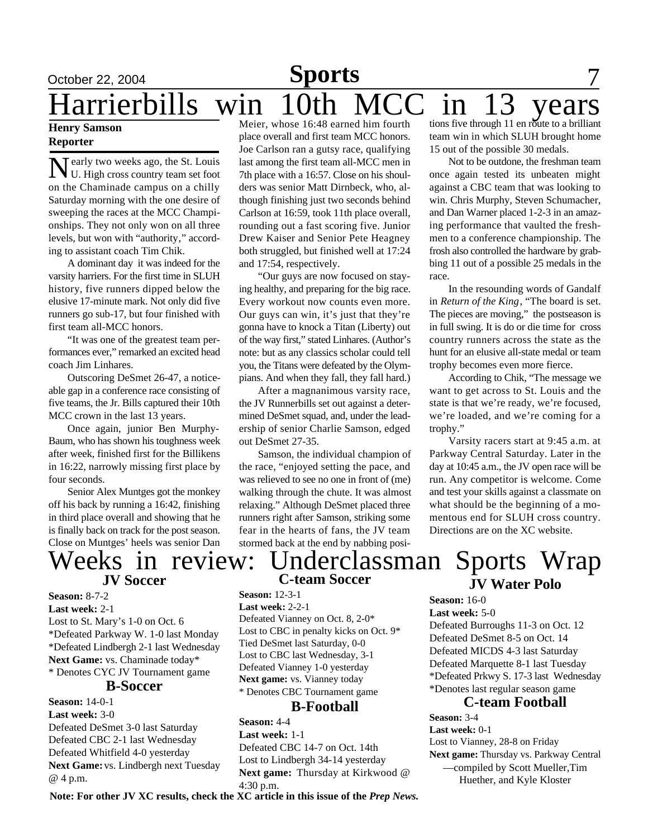### October 22, 2004 **Sports** 7 **Sports** Harrierbills win 10th MCC in 13 years Meier, whose 16:48 earned him fourth

### **Henry Samson Reporter**

Nearly two weeks ago, the St. Louis<br>U. High cross country team set foot U. High cross country team set foot on the Chaminade campus on a chilly Saturday morning with the one desire of sweeping the races at the MCC Championships. They not only won on all three levels, but won with "authority," according to assistant coach Tim Chik.

A dominant day it was indeed for the varsity harriers. For the first time in SLUH history, five runners dipped below the elusive 17-minute mark. Not only did five runners go sub-17, but four finished with first team all-MCC honors.

"It was one of the greatest team performances ever," remarked an excited head coach Jim Linhares.

Outscoring DeSmet 26-47, a noticeable gap in a conference race consisting of five teams, the Jr. Bills captured their 10th MCC crown in the last 13 years.

Once again, junior Ben Murphy-Baum, who has shown his toughness week after week, finished first for the Billikens in 16:22, narrowly missing first place by four seconds.

Senior Alex Muntges got the monkey off his back by running a 16:42, finishing in third place overall and showing that he is finally back on track for the post season. Close on Muntges' heels was senior Dan

# **JV Soccer**

**Season:** 8-7-2

**Last week:** 2-1 Lost to St. Mary's 1-0 on Oct. 6 \*Defeated Parkway W. 1-0 last Monday \*Defeated Lindbergh 2-1 last Wednesday **Next Game:** vs. Chaminade today\* \* Denotes CYC JV Tournament game

### **B-Soccer**

**Season:** 14-0-1 **Last week:** 3-0 Defeated DeSmet 3-0 last Saturday Defeated CBC 2-1 last Wednesday Defeated Whitfield 4-0 yesterday **Next Game:** vs. Lindbergh next Tuesday @ 4 p.m.

place overall and first team MCC honors. Joe Carlson ran a gutsy race, qualifying last among the first team all-MCC men in 7th place with a 16:57. Close on his shoulders was senior Matt Dirnbeck, who, although finishing just two seconds behind Carlson at 16:59, took 11th place overall, rounding out a fast scoring five. Junior Drew Kaiser and Senior Pete Heagney both struggled, but finished well at 17:24 and 17:54, respectively.

"Our guys are now focused on staying healthy, and preparing for the big race. Every workout now counts even more. Our guys can win, it's just that they're gonna have to knock a Titan (Liberty) out of the way first," stated Linhares. (Author's note: but as any classics scholar could tell you, the Titans were defeated by the Olympians. And when they fall, they fall hard.)

After a magnanimous varsity race, the JV Runnerbills set out against a determined DeSmet squad, and, under the leadership of senior Charlie Samson, edged out DeSmet 27-35.

Samson, the individual champion of the race, "enjoyed setting the pace, and was relieved to see no one in front of (me) walking through the chute. It was almost relaxing." Although DeSmet placed three runners right after Samson, striking some fear in the hearts of fans, the JV team stormed back at the end by nabbing posi-

tions five through 11 en route to a brilliant team win in which SLUH brought home 15 out of the possible 30 medals.

Not to be outdone, the freshman team once again tested its unbeaten might against a CBC team that was looking to win. Chris Murphy, Steven Schumacher, and Dan Warner placed 1-2-3 in an amazing performance that vaulted the freshmen to a conference championship. The frosh also controlled the hardware by grabbing 11 out of a possible 25 medals in the race.

In the resounding words of Gandalf in *Return of the King*, "The board is set. The pieces are moving," the postseason is in full swing. It is do or die time for cross country runners across the state as the hunt for an elusive all-state medal or team trophy becomes even more fierce.

According to Chik, "The message we want to get across to St. Louis and the state is that we're ready, we're focused, we're loaded, and we're coming for a trophy."

Varsity racers start at 9:45 a.m. at Parkway Central Saturday. Later in the day at 10:45 a.m., the JV open race will be run. Any competitor is welcome. Come and test your skills against a classmate on what should be the beginning of a momentous end for SLUH cross country. Directions are on the XC website.

### **JV Water Polo C-team Soccer** Weeks in review: Underclassman Sports Wrap

**Season:** 12-3-1 **Last week:** 2-2-1 Defeated Vianney on Oct. 8, 2-0\* Lost to CBC in penalty kicks on Oct. 9\* Tied DeSmet last Saturday, 0-0 Lost to CBC last Wednesday, 3-1 Defeated Vianney 1-0 yesterday **Next game:** vs. Vianney today \* Denotes CBC Tournament game

### **B-Football**

**Season:** 4-4 **Last week:** 1-1 Defeated CBC 14-7 on Oct. 14th Lost to Lindbergh 34-14 yesterday **Next game:** Thursday at Kirkwood @ 4:30 p.m.

**Last week:** 5-0 Defeated Burroughs 11-3 on Oct. 12 Defeated DeSmet 8-5 on Oct. 14 Defeated MICDS 4-3 last Saturday Defeated Marquette 8-1 last Tuesday \*Defeated Prkwy S. 17-3 last Wednesday \*Denotes last regular season game

### **C-team Football**

**Season:** 3-4

**Season:** 16-0

**Last week:** 0-1 Lost to Vianney, 28-8 on Friday **Next game:** Thursday vs. Parkway Central —compiled by Scott Mueller,Tim Huether, and Kyle Kloster

**Note: For other JV XC results, check the XC article in this issue of the** *Prep News.*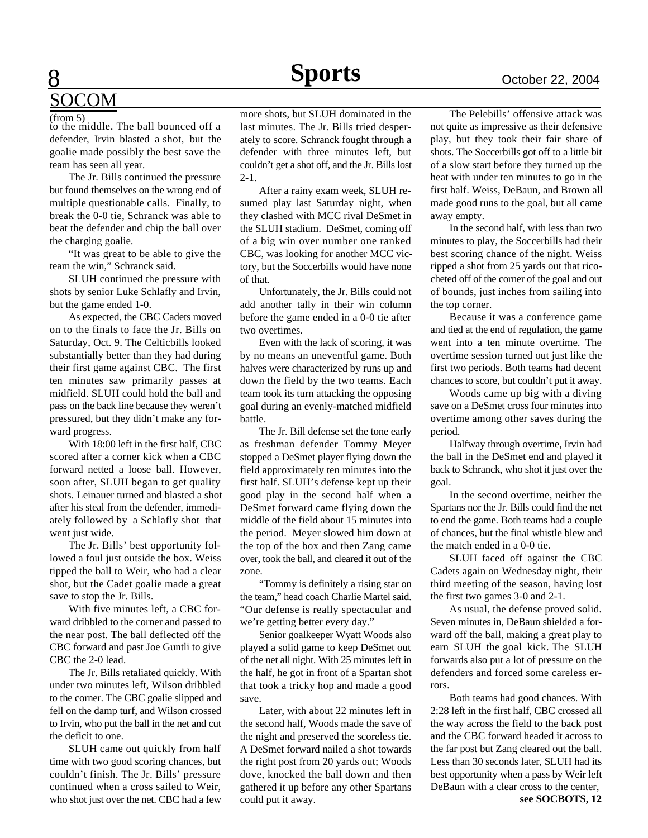### 8 SOCOM

to the middle. The ball bounced off a defender, Irvin blasted a shot, but the goalie made possibly the best save the team has seen all year. (from 5)

The Jr. Bills continued the pressure but found themselves on the wrong end of multiple questionable calls. Finally, to break the 0-0 tie, Schranck was able to beat the defender and chip the ball over the charging goalie.

"It was great to be able to give the team the win," Schranck said.

SLUH continued the pressure with shots by senior Luke Schlafly and Irvin, but the game ended 1-0.

As expected, the CBC Cadets moved on to the finals to face the Jr. Bills on Saturday, Oct. 9. The Celticbills looked substantially better than they had during their first game against CBC. The first ten minutes saw primarily passes at midfield. SLUH could hold the ball and pass on the back line because they weren't pressured, but they didn't make any forward progress.

With 18:00 left in the first half, CBC scored after a corner kick when a CBC forward netted a loose ball. However, soon after, SLUH began to get quality shots. Leinauer turned and blasted a shot after his steal from the defender, immediately followed by a Schlafly shot that went just wide.

The Jr. Bills' best opportunity followed a foul just outside the box. Weiss tipped the ball to Weir, who had a clear shot, but the Cadet goalie made a great save to stop the Jr. Bills.

With five minutes left, a CBC forward dribbled to the corner and passed to the near post. The ball deflected off the CBC forward and past Joe Guntli to give CBC the 2-0 lead.

The Jr. Bills retaliated quickly. With under two minutes left, Wilson dribbled to the corner. The CBC goalie slipped and fell on the damp turf, and Wilson crossed to Irvin, who put the ball in the net and cut the deficit to one.

SLUH came out quickly from half time with two good scoring chances, but couldn't finish. The Jr. Bills' pressure continued when a cross sailed to Weir, who shot just over the net. CBC had a few more shots, but SLUH dominated in the last minutes. The Jr. Bills tried desperately to score. Schranck fought through a defender with three minutes left, but couldn't get a shot off, and the Jr. Bills lost 2-1.

After a rainy exam week, SLUH resumed play last Saturday night, when they clashed with MCC rival DeSmet in the SLUH stadium. DeSmet, coming off of a big win over number one ranked CBC, was looking for another MCC victory, but the Soccerbills would have none of that.

Unfortunately, the Jr. Bills could not add another tally in their win column before the game ended in a 0-0 tie after two overtimes.

Even with the lack of scoring, it was by no means an uneventful game. Both halves were characterized by runs up and down the field by the two teams. Each team took its turn attacking the opposing goal during an evenly-matched midfield battle.

The Jr. Bill defense set the tone early as freshman defender Tommy Meyer stopped a DeSmet player flying down the field approximately ten minutes into the first half. SLUH's defense kept up their good play in the second half when a DeSmet forward came flying down the middle of the field about 15 minutes into the period. Meyer slowed him down at the top of the box and then Zang came over, took the ball, and cleared it out of the zone.

"Tommy is definitely a rising star on the team," head coach Charlie Martel said. "Our defense is really spectacular and we're getting better every day."

Senior goalkeeper Wyatt Woods also played a solid game to keep DeSmet out of the net all night. With 25 minutes left in the half, he got in front of a Spartan shot that took a tricky hop and made a good save.

Later, with about 22 minutes left in the second half, Woods made the save of the night and preserved the scoreless tie. A DeSmet forward nailed a shot towards the right post from 20 yards out; Woods dove, knocked the ball down and then gathered it up before any other Spartans could put it away.

The Pelebills' offensive attack was not quite as impressive as their defensive play, but they took their fair share of shots. The Soccerbills got off to a little bit of a slow start before they turned up the heat with under ten minutes to go in the first half. Weiss, DeBaun, and Brown all made good runs to the goal, but all came away empty.

In the second half, with less than two minutes to play, the Soccerbills had their best scoring chance of the night. Weiss ripped a shot from 25 yards out that ricocheted off of the corner of the goal and out of bounds, just inches from sailing into the top corner.

Because it was a conference game and tied at the end of regulation, the game went into a ten minute overtime. The overtime session turned out just like the first two periods. Both teams had decent chances to score, but couldn't put it away.

Woods came up big with a diving save on a DeSmet cross four minutes into overtime among other saves during the period.

Halfway through overtime, Irvin had the ball in the DeSmet end and played it back to Schranck, who shot it just over the goal.

In the second overtime, neither the Spartans nor the Jr. Bills could find the net to end the game. Both teams had a couple of chances, but the final whistle blew and the match ended in a 0-0 tie.

SLUH faced off against the CBC Cadets again on Wednesday night, their third meeting of the season, having lost the first two games 3-0 and 2-1.

As usual, the defense proved solid. Seven minutes in, DeBaun shielded a forward off the ball, making a great play to earn SLUH the goal kick. The SLUH forwards also put a lot of pressure on the defenders and forced some careless errors.

Both teams had good chances. With 2:28 left in the first half, CBC crossed all the way across the field to the back post and the CBC forward headed it across to the far post but Zang cleared out the ball. Less than 30 seconds later, SLUH had its best opportunity when a pass by Weir left DeBaun with a clear cross to the center,

**see SOCBOTS, 12**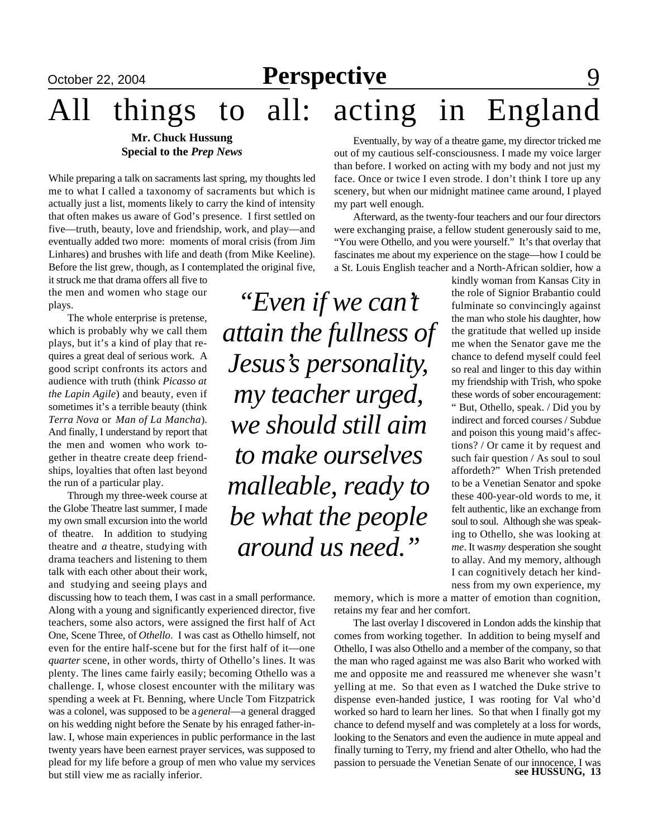## **October 22, 2004 Perspective** 9

# All things to all: acting in England

### **Mr. Chuck Hussung Special to the** *Prep News*

While preparing a talk on sacraments last spring, my thoughts led me to what I called a taxonomy of sacraments but which is actually just a list, moments likely to carry the kind of intensity that often makes us aware of God's presence. I first settled on five—truth, beauty, love and friendship, work, and play—and eventually added two more: moments of moral crisis (from Jim Linhares) and brushes with life and death (from Mike Keeline). Before the list grew, though, as I contemplated the original five,

it struck me that drama offers all five to the men and women who stage our plays.

The whole enterprise is pretense, which is probably why we call them plays, but it's a kind of play that requires a great deal of serious work. A good script confronts its actors and audience with truth (think *Picasso at the Lapin Agile*) and beauty, even if sometimes it's a terrible beauty (think *Terra Nova* or *Man of La Mancha*). And finally, I understand by report that the men and women who work together in theatre create deep friendships, loyalties that often last beyond the run of a particular play.

Through my three-week course at the Globe Theatre last summer, I made my own small excursion into the world of theatre. In addition to studying theatre and *a* theatre, studying with drama teachers and listening to them talk with each other about their work, and studying and seeing plays and

discussing how to teach them, I was cast in a small performance. Along with a young and significantly experienced director, five teachers, some also actors, were assigned the first half of Act One, Scene Three, of *Othello*. I was cast as Othello himself, not even for the entire half-scene but for the first half of it—one *quarter* scene, in other words, thirty of Othello's lines. It was plenty. The lines came fairly easily; becoming Othello was a challenge. I, whose closest encounter with the military was spending a week at Ft. Benning, where Uncle Tom Fitzpatrick was a colonel, was supposed to be a *general*—a general dragged on his wedding night before the Senate by his enraged father-inlaw. I, whose main experiences in public performance in the last twenty years have been earnest prayer services, was supposed to plead for my life before a group of men who value my services but still view me as racially inferior.

*"Even if we can't attain the fullness of Jesus's personality, my teacher urged, we should still aim to make ourselves malleable, ready to be what the people around us need."*

Eventually, by way of a theatre game, my director tricked me out of my cautious self-consciousness. I made my voice larger than before. I worked on acting with my body and not just my face. Once or twice I even strode. I don't think I tore up any scenery, but when our midnight matinee came around, I played my part well enough.

Afterward, as the twenty-four teachers and our four directors were exchanging praise, a fellow student generously said to me, "You were Othello, and you were yourself." It's that overlay that fascinates me about my experience on the stage—how I could be a St. Louis English teacher and a North-African soldier, how a

> kindly woman from Kansas City in the role of Signior Brabantio could fulminate so convincingly against the man who stole his daughter, how the gratitude that welled up inside me when the Senator gave me the chance to defend myself could feel so real and linger to this day within my friendship with Trish, who spoke these words of sober encouragement: " But, Othello, speak. / Did you by indirect and forced courses / Subdue and poison this young maid's affections? / Or came it by request and such fair question / As soul to soul affordeth?" When Trish pretended to be a Venetian Senator and spoke these 400-year-old words to me, it felt authentic, like an exchange from soul to soul. Although she was speaking to Othello, she was looking at *me*. It was *my* desperation she sought to allay. And my memory, although I can cognitively detach her kindness from my own experience, my

memory, which is more a matter of emotion than cognition, retains my fear and her comfort.

The last overlay I discovered in London adds the kinship that comes from working together. In addition to being myself and Othello, I was also Othello and a member of the company, so that the man who raged against me was also Barit who worked with me and opposite me and reassured me whenever she wasn't yelling at me. So that even as I watched the Duke strive to dispense even-handed justice, I was rooting for Val who'd worked so hard to learn her lines. So that when I finally got my chance to defend myself and was completely at a loss for words, looking to the Senators and even the audience in mute appeal and finally turning to Terry, my friend and alter Othello, who had the passion to persuade the Venetian Senate of our innocence, I was **see HUSSUNG, 13**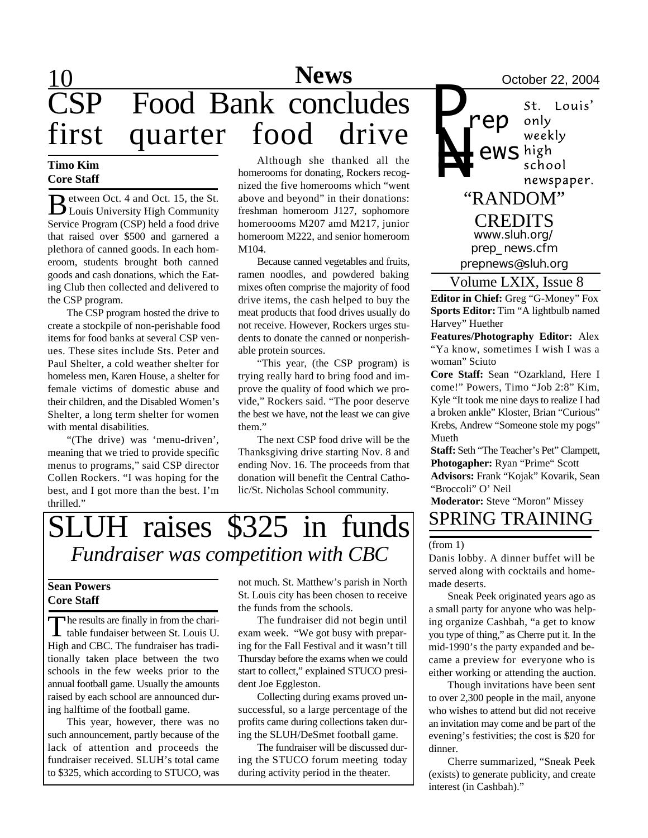## 10 **Sports News** October 22, 2004 CSP Food Bank concludes first quarter food drive

### **Timo Kim Core Staff**

B etween Oct. 4 and Oct. 15, the St. Louis University High Community Service Program (CSP) held a food drive that raised over \$500 and garnered a plethora of canned goods. In each homeroom, students brought both canned goods and cash donations, which the Eating Club then collected and delivered to the CSP program.

The CSP program hosted the drive to create a stockpile of non-perishable food items for food banks at several CSP venues. These sites include Sts. Peter and Paul Shelter, a cold weather shelter for homeless men, Karen House, a shelter for female victims of domestic abuse and their children, and the Disabled Women's Shelter, a long term shelter for women with mental disabilities.

"(The drive) was 'menu-driven', meaning that we tried to provide specific menus to programs," said CSP director Collen Rockers. "I was hoping for the best, and I got more than the best. I'm thrilled."

Although she thanked all the homerooms for donating, Rockers recognized the five homerooms which "went above and beyond" in their donations: freshman homeroom J127, sophomore homeroooms M207 amd M217, junior homeroom M222, and senior homeroom M104.

Because canned vegetables and fruits, ramen noodles, and powdered baking mixes often comprise the majority of food drive items, the cash helped to buy the meat products that food drives usually do not receive. However, Rockers urges students to donate the canned or nonperishable protein sources.

"This year, (the CSP program) is trying really hard to bring food and improve the quality of food which we provide," Rockers said. "The poor deserve the best we have, not the least we can give them."

The next CSP food drive will be the Thanksgiving drive starting Nov. 8 and ending Nov. 16. The proceeds from that donation will benefit the Central Catholic/St. Nicholas School community.

### SLUH raises \$325 in funds *Fundraiser was competition with CBC*

### **Sean Powers Core Staff**

The results are finally in from the charitable fundaiser between St. Louis U.  $\blacksquare$  he results are finally in from the chari-High and CBC. The fundraiser has traditionally taken place between the two schools in the few weeks prior to the annual football game. Usually the amounts raised by each school are announced during halftime of the football game.

This year, however, there was no such announcement, partly because of the lack of attention and proceeds the fundraiser received. SLUH's total came to \$325, which according to STUCO, was not much. St. Matthew's parish in North St. Louis city has been chosen to receive the funds from the schools.

The fundraiser did not begin until exam week. "We got busy with preparing for the Fall Festival and it wasn't till Thursday before the exams when we could start to collect," explained STUCO president Joe Eggleston.

Collecting during exams proved unsuccessful, so a large percentage of the profits came during collections taken during the SLUH/DeSmet football game.

The fundraiser will be discussed during the STUCO forum meeting today during activity period in the theater.

*P* St. Louis' *rep* only weekly *N= ews* school newspaper. "RANDOM" CREDITS *www.sluh.org/ prep\_news.cfm prepnews@sluh.org*

### Volume LXIX, Issue 8

**Editor in Chief:** Greg "G-Money" Fox **Sports Editor:** Tim "A lightbulb named Harvey" Huether

**Features/Photography Editor:** Alex "Ya know, sometimes I wish I was a woman" Sciuto

**Core Staff:** Sean "Ozarkland, Here I come!" Powers, Timo "Job 2:8" Kim, Kyle "It took me nine days to realize I had a broken ankle" Kloster, Brian "Curious" Krebs, Andrew "Someone stole my pogs" Mueth

**Staff:** Seth "The Teacher's Pet" Clampett, **Photogapher:** Ryan "Prime" Scott **Advisors:** Frank "Kojak" Kovarik, Sean "Broccoli" O' Neil

**Moderator:** Steve "Moron" Missey SPRING TRAINING

#### (from 1)

Danis lobby. A dinner buffet will be served along with cocktails and homemade deserts.

Sneak Peek originated years ago as a small party for anyone who was helping organize Cashbah, "a get to know you type of thing," as Cherre put it. In the mid-1990's the party expanded and became a preview for everyone who is either working or attending the auction.

Though invitations have been sent to over 2,300 people in the mail, anyone who wishes to attend but did not receive an invitation may come and be part of the evening's festivities; the cost is \$20 for dinner.

Cherre summarized, "Sneak Peek (exists) to generate publicity, and create interest (in Cashbah)."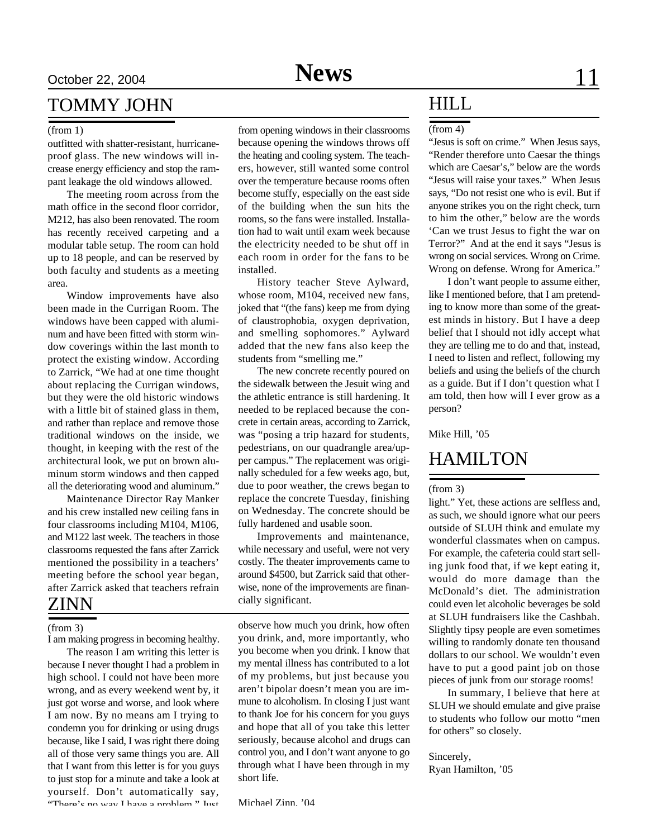### TOMMY JOHN

#### (from 1)

outfitted with shatter-resistant, hurricaneproof glass. The new windows will increase energy efficiency and stop the rampant leakage the old windows allowed.

The meeting room across from the math office in the second floor corridor, M212, has also been renovated. The room has recently received carpeting and a modular table setup. The room can hold up to 18 people, and can be reserved by both faculty and students as a meeting area.

Window improvements have also been made in the Currigan Room. The windows have been capped with aluminum and have been fitted with storm window coverings within the last month to protect the existing window. According to Zarrick, "We had at one time thought about replacing the Currigan windows, but they were the old historic windows with a little bit of stained glass in them, and rather than replace and remove those traditional windows on the inside, we thought, in keeping with the rest of the architectural look, we put on brown aluminum storm windows and then capped all the deteriorating wood and aluminum."

Maintenance Director Ray Manker and his crew installed new ceiling fans in four classrooms including M104, M106, and M122 last week. The teachers in those classrooms requested the fans after Zarrick mentioned the possibility in a teachers' meeting before the school year began, after Zarrick asked that teachers refrain

#### (from 3)

I am making progress in becoming healthy.

The reason I am writing this letter is because I never thought I had a problem in high school. I could not have been more wrong, and as every weekend went by, it just got worse and worse, and look where I am now. By no means am I trying to condemn you for drinking or using drugs because, like I said, I was right there doing all of those very same things you are. All that I want from this letter is for you guys to just stop for a minute and take a look at yourself. Don't automatically say, "There's no way I have a problem." Just

from opening windows in their classrooms because opening the windows throws off the heating and cooling system. The teachers, however, still wanted some control over the temperature because rooms often become stuffy, especially on the east side of the building when the sun hits the rooms, so the fans were installed. Installation had to wait until exam week because the electricity needed to be shut off in each room in order for the fans to be installed.

History teacher Steve Aylward, whose room, M104, received new fans, joked that "(the fans) keep me from dying of claustrophobia, oxygen deprivation, and smelling sophomores." Aylward added that the new fans also keep the students from "smelling me."

The new concrete recently poured on the sidewalk between the Jesuit wing and the athletic entrance is still hardening. It needed to be replaced because the concrete in certain areas, according to Zarrick, was "posing a trip hazard for students, pedestrians, on our quadrangle area/upper campus." The replacement was originally scheduled for a few weeks ago, but, due to poor weather, the crews began to replace the concrete Tuesday, finishing on Wednesday. The concrete should be fully hardened and usable soon.

Improvements and maintenance, while necessary and useful, were not very costly. The theater improvements came to around \$4500, but Zarrick said that otherwise, none of the improvements are financially significant. ZINN

> observe how much you drink, how often you drink, and, more importantly, who you become when you drink. I know that my mental illness has contributed to a lot of my problems, but just because you aren't bipolar doesn't mean you are immune to alcoholism. In closing I just want to thank Joe for his concern for you guys and hope that all of you take this letter seriously, because alcohol and drugs can control you, and I don't want anyone to go through what I have been through in my short life.

### HILL

#### (from 4)

"Jesus is soft on crime." When Jesus says, "Render therefore unto Caesar the things which are Caesar's," below are the words "Jesus will raise your taxes." When Jesus says, "Do not resist one who is evil. But if anyone strikes you on the right check, turn to him the other," below are the words 'Can we trust Jesus to fight the war on Terror?" And at the end it says "Jesus is wrong on social services. Wrong on Crime. Wrong on defense. Wrong for America."

I don't want people to assume either, like I mentioned before, that I am pretending to know more than some of the greatest minds in history. But I have a deep belief that I should not idly accept what they are telling me to do and that, instead, I need to listen and reflect, following my beliefs and using the beliefs of the church as a guide. But if I don't question what I am told, then how will I ever grow as a person?

Mike Hill, '05

### HAMILTON

#### (from 3)

light." Yet, these actions are selfless and, as such, we should ignore what our peers outside of SLUH think and emulate my wonderful classmates when on campus. For example, the cafeteria could start selling junk food that, if we kept eating it, would do more damage than the McDonald's diet. The administration could even let alcoholic beverages be sold at SLUH fundraisers like the Cashbah. Slightly tipsy people are even sometimes willing to randomly donate ten thousand dollars to our school. We wouldn't even have to put a good paint job on those pieces of junk from our storage rooms!

In summary, I believe that here at SLUH we should emulate and give praise to students who follow our motto "men for others" so closely.

#### Sincerely,

Ryan Hamilton, '05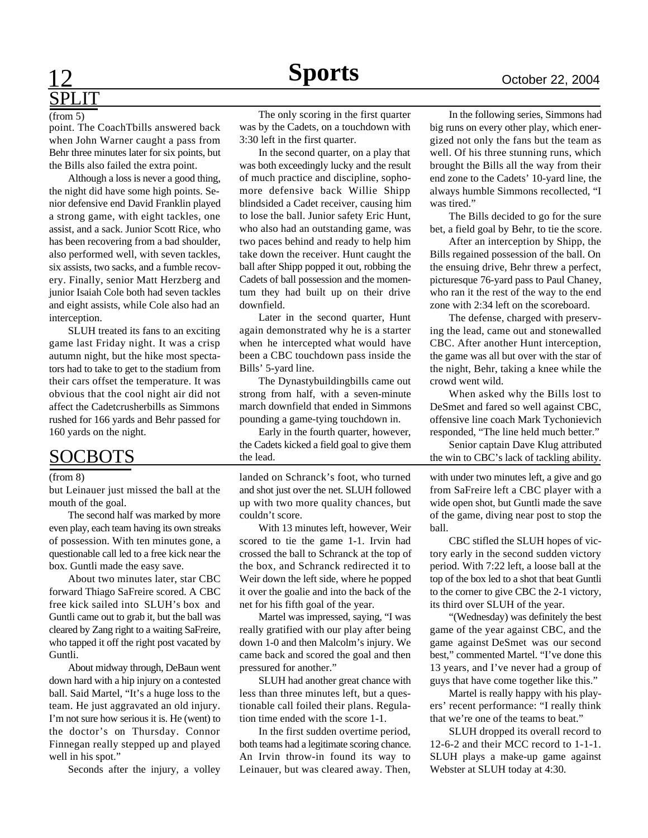### **Sports** October 22, 2004 **Sports**

# SPLIT

#### (from 5)

point. The CoachTbills answered back when John Warner caught a pass from Behr three minutes later for six points, but the Bills also failed the extra point.

Although a loss is never a good thing, the night did have some high points. Senior defensive end David Franklin played a strong game, with eight tackles, one assist, and a sack. Junior Scott Rice, who has been recovering from a bad shoulder, also performed well, with seven tackles, six assists, two sacks, and a fumble recovery. Finally, senior Matt Herzberg and junior Isaiah Cole both had seven tackles and eight assists, while Cole also had an interception.

SLUH treated its fans to an exciting game last Friday night. It was a crisp autumn night, but the hike most spectators had to take to get to the stadium from their cars offset the temperature. It was obvious that the cool night air did not affect the Cadetcrusherbills as Simmons rushed for 166 yards and Behr passed for 160 yards on the night.

### SOCBOTS

#### (from 8)

but Leinauer just missed the ball at the mouth of the goal.

The second half was marked by more even play, each team having its own streaks of possession. With ten minutes gone, a questionable call led to a free kick near the box. Guntli made the easy save.

About two minutes later, star CBC forward Thiago SaFreire scored. A CBC free kick sailed into SLUH's box and Guntli came out to grab it, but the ball was cleared by Zang right to a waiting SaFreire, who tapped it off the right post vacated by Guntli.

About midway through, DeBaun went down hard with a hip injury on a contested ball. Said Martel, "It's a huge loss to the team. He just aggravated an old injury. I'm not sure how serious it is. He (went) to the doctor's on Thursday. Connor Finnegan really stepped up and played well in his spot."

Seconds after the injury, a volley

The only scoring in the first quarter was by the Cadets, on a touchdown with 3:30 left in the first quarter.

In the second quarter, on a play that was both exceedingly lucky and the result of much practice and discipline, sophomore defensive back Willie Shipp blindsided a Cadet receiver, causing him to lose the ball. Junior safety Eric Hunt, who also had an outstanding game, was two paces behind and ready to help him take down the receiver. Hunt caught the ball after Shipp popped it out, robbing the Cadets of ball possession and the momentum they had built up on their drive downfield.

Later in the second quarter, Hunt again demonstrated why he is a starter when he intercepted what would have been a CBC touchdown pass inside the Bills' 5-yard line.

The Dynastybuildingbills came out strong from half, with a seven-minute march downfield that ended in Simmons pounding a game-tying touchdown in.

Early in the fourth quarter, however, the Cadets kicked a field goal to give them the lead.

landed on Schranck's foot, who turned and shot just over the net. SLUH followed up with two more quality chances, but couldn't score.

With 13 minutes left, however, Weir scored to tie the game 1-1. Irvin had crossed the ball to Schranck at the top of the box, and Schranck redirected it to Weir down the left side, where he popped it over the goalie and into the back of the net for his fifth goal of the year.

Martel was impressed, saying, "I was really gratified with our play after being down 1-0 and then Malcolm's injury. We came back and scored the goal and then pressured for another."

SLUH had another great chance with less than three minutes left, but a questionable call foiled their plans. Regulation time ended with the score 1-1.

In the first sudden overtime period, both teams had a legitimate scoring chance. An Irvin throw-in found its way to Leinauer, but was cleared away. Then,

In the following series, Simmons had big runs on every other play, which energized not only the fans but the team as well. Of his three stunning runs, which brought the Bills all the way from their end zone to the Cadets' 10-yard line, the always humble Simmons recollected, "I was tired."

The Bills decided to go for the sure bet, a field goal by Behr, to tie the score.

After an interception by Shipp, the Bills regained possession of the ball. On the ensuing drive, Behr threw a perfect, picturesque 76-yard pass to Paul Chaney, who ran it the rest of the way to the end zone with 2:34 left on the scoreboard.

The defense, charged with preserving the lead, came out and stonewalled CBC. After another Hunt interception, the game was all but over with the star of the night, Behr, taking a knee while the crowd went wild.

When asked why the Bills lost to DeSmet and fared so well against CBC, offensive line coach Mark Tychonievich responded, "The line held much better."

Senior captain Dave Klug attributed the win to CBC's lack of tackling ability.

with under two minutes left, a give and go from SaFreire left a CBC player with a wide open shot, but Guntli made the save of the game, diving near post to stop the ball.

CBC stifled the SLUH hopes of victory early in the second sudden victory period. With 7:22 left, a loose ball at the top of the box led to a shot that beat Guntli to the corner to give CBC the 2-1 victory, its third over SLUH of the year.

"(Wednesday) was definitely the best game of the year against CBC, and the game against DeSmet was our second best," commented Martel. "I've done this 13 years, and I've never had a group of guys that have come together like this."

Martel is really happy with his players' recent performance: "I really think that we're one of the teams to beat."

SLUH dropped its overall record to 12-6-2 and their MCC record to 1-1-1. SLUH plays a make-up game against Webster at SLUH today at 4:30.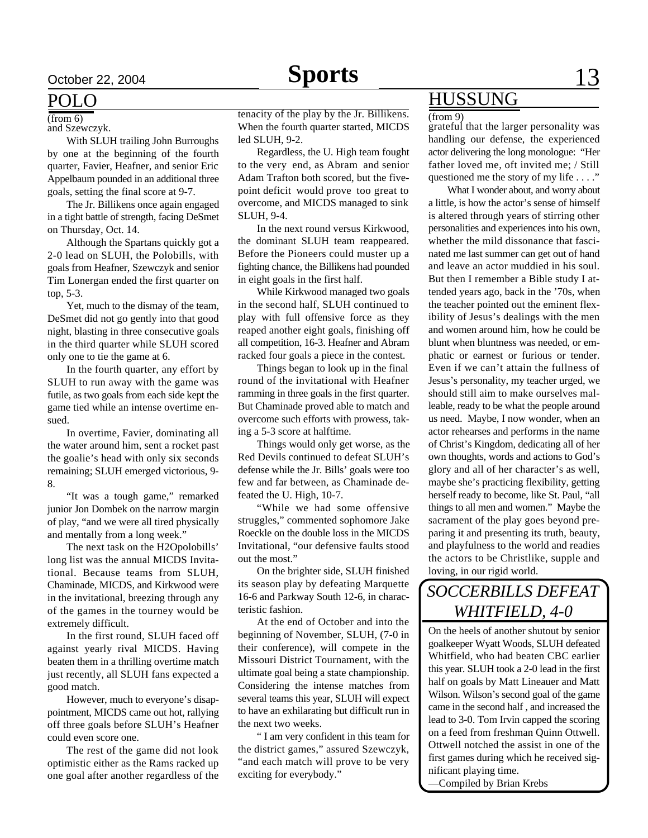and Szewczyk.

With SLUH trailing John Burroughs by one at the beginning of the fourth quarter, Favier, Heafner, and senior Eric Appelbaum pounded in an additional three goals, setting the final score at 9-7.

The Jr. Billikens once again engaged in a tight battle of strength, facing DeSmet on Thursday, Oct. 14.

Although the Spartans quickly got a 2-0 lead on SLUH, the Polobills, with goals from Heafner, Szewczyk and senior Tim Lonergan ended the first quarter on top, 5-3.

Yet, much to the dismay of the team, DeSmet did not go gently into that good night, blasting in three consecutive goals in the third quarter while SLUH scored only one to tie the game at 6.

In the fourth quarter, any effort by SLUH to run away with the game was futile, as two goals from each side kept the game tied while an intense overtime ensued.

In overtime, Favier, dominating all the water around him, sent a rocket past the goalie's head with only six seconds remaining; SLUH emerged victorious, 9- 8.

"It was a tough game," remarked junior Jon Dombek on the narrow margin of play, "and we were all tired physically and mentally from a long week."

The next task on the H2Opolobills' long list was the annual MICDS Invitational. Because teams from SLUH, Chaminade, MICDS, and Kirkwood were in the invitational, breezing through any of the games in the tourney would be extremely difficult.

In the first round, SLUH faced off against yearly rival MICDS. Having beaten them in a thrilling overtime match just recently, all SLUH fans expected a good match.

However, much to everyone's disappointment, MICDS came out hot, rallying off three goals before SLUH's Heafner could even score one.

The rest of the game did not look optimistic either as the Rams racked up one goal after another regardless of the

 $\frac{1}{r}$  (from 6) tenacity of the play by the Jr. Billikens. (from 9) When the fourth quarter started, MICDS led SLUH, 9-2.

Regardless, the U. High team fought to the very end, as Abram and senior Adam Trafton both scored, but the fivepoint deficit would prove too great to overcome, and MICDS managed to sink SLUH, 9-4.

In the next round versus Kirkwood, the dominant SLUH team reappeared. Before the Pioneers could muster up a fighting chance, the Billikens had pounded in eight goals in the first half.

While Kirkwood managed two goals in the second half, SLUH continued to play with full offensive force as they reaped another eight goals, finishing off all competition, 16-3. Heafner and Abram racked four goals a piece in the contest.

Things began to look up in the final round of the invitational with Heafner ramming in three goals in the first quarter. But Chaminade proved able to match and overcome such efforts with prowess, taking a 5-3 score at halftime.

Things would only get worse, as the Red Devils continued to defeat SLUH's defense while the Jr. Bills' goals were too few and far between, as Chaminade defeated the U. High, 10-7.

"While we had some offensive struggles," commented sophomore Jake Roeckle on the double loss in the MICDS Invitational, "our defensive faults stood out the most."

On the brighter side, SLUH finished its season play by defeating Marquette 16-6 and Parkway South 12-6, in characteristic fashion.

At the end of October and into the beginning of November, SLUH, (7-0 in their conference), will compete in the Missouri District Tournament, with the ultimate goal being a state championship. Considering the intense matches from several teams this year, SLUH will expect to have an exhilarating but difficult run in the next two weeks.

" I am very confident in this team for the district games," assured Szewczyk, "and each match will prove to be very exciting for everybody."

### POLO HUSSUNG

grateful that the larger personality was handling our defense, the experienced actor delivering the long monologue: "Her father loved me, oft invited me; / Still questioned me the story of my life . . . ."

What I wonder about, and worry about a little, is how the actor's sense of himself is altered through years of stirring other personalities and experiences into his own, whether the mild dissonance that fascinated me last summer can get out of hand and leave an actor muddied in his soul. But then I remember a Bible study I attended years ago, back in the '70s, when the teacher pointed out the eminent flexibility of Jesus's dealings with the men and women around him, how he could be blunt when bluntness was needed, or emphatic or earnest or furious or tender. Even if we can't attain the fullness of Jesus's personality, my teacher urged, we should still aim to make ourselves malleable, ready to be what the people around us need. Maybe, I now wonder, when an actor rehearses and performs in the name of Christ's Kingdom, dedicating all of her own thoughts, words and actions to God's glory and all of her character's as well, maybe she's practicing flexibility, getting herself ready to become, like St. Paul, "all things to all men and women." Maybe the sacrament of the play goes beyond preparing it and presenting its truth, beauty, and playfulness to the world and readies the actors to be Christlike, supple and loving, in our rigid world.

### *SOCCERBILLS DEFEAT WHITFIELD, 4-0*

On the heels of another shutout by senior goalkeeper Wyatt Woods, SLUH defeated Whitfield, who had beaten CBC earlier this year. SLUH took a 2-0 lead in the first half on goals by Matt Lineauer and Matt Wilson. Wilson's second goal of the game came in the second half , and increased the lead to 3-0. Tom Irvin capped the scoring on a feed from freshman Quinn Ottwell. Ottwell notched the assist in one of the first games during which he received significant playing time.

—Compiled by Brian Krebs